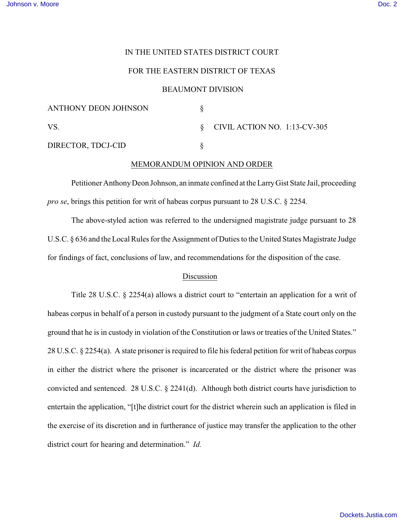# IN THE UNITED STATES DISTRICT COURT

# FOR THE EASTERN DISTRICT OF TEXAS

### BEAUMONT DIVISION

| ANTHONY DEON JOHNSON |                                   |
|----------------------|-----------------------------------|
| VS.                  | $\S$ CIVIL ACTION NO. 1:13-CV-305 |
| DIRECTOR, TDCJ-CID   |                                   |

### MEMORANDUM OPINION AND ORDER

Petitioner Anthony Deon Johnson, an inmate confined at the Larry Gist State Jail, proceeding *pro se*, brings this petition for writ of habeas corpus pursuant to 28 U.S.C. § 2254.

The above-styled action was referred to the undersigned magistrate judge pursuant to 28 U.S.C. § 636 and the Local Rules for the Assignment of Duties to the United States Magistrate Judge for findings of fact, conclusions of law, and recommendations for the disposition of the case.

# Discussion

Title 28 U.S.C. § 2254(a) allows a district court to "entertain an application for a writ of habeas corpus in behalf of a person in custody pursuant to the judgment of a State court only on the ground that he is in custody in violation of the Constitution or laws or treaties of the United States." 28 U.S.C. § 2254(a). A state prisoner is required to file his federal petition for writ of habeas corpus in either the district where the prisoner is incarcerated or the district where the prisoner was convicted and sentenced. 28 U.S.C. § 2241(d). Although both district courts have jurisdiction to entertain the application, "[t]he district court for the district wherein such an application is filed in the exercise of its discretion and in furtherance of justice may transfer the application to the other district court for hearing and determination." *Id.*